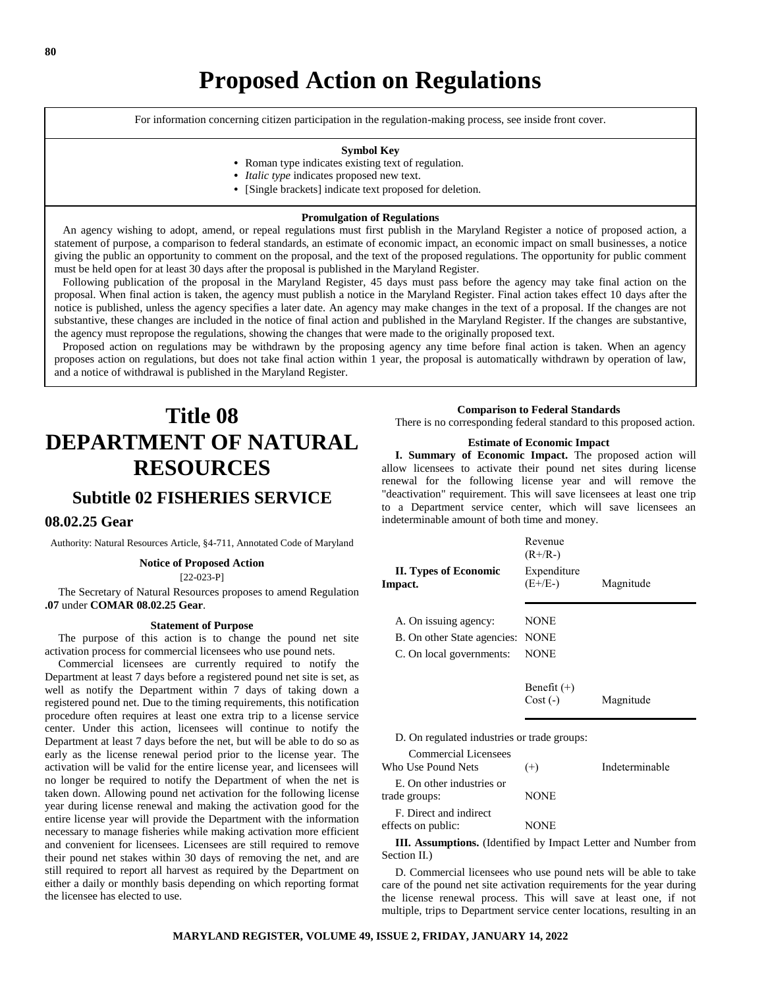For information concerning citizen participation in the regulation-making process, see inside front cover.

### **Symbol Key**

- **•** Roman type indicates existing text of regulation.
- **•** *Italic type* indicates proposed new text.
- **•** [Single brackets] indicate text proposed for deletion.

### **Promulgation of Regulations**

 An agency wishing to adopt, amend, or repeal regulations must first publish in the Maryland Register a notice of proposed action, a statement of purpose, a comparison to federal standards, an estimate of economic impact, an economic impact on small businesses, a notice giving the public an opportunity to comment on the proposal, and the text of the proposed regulations. The opportunity for public comment must be held open for at least 30 days after the proposal is published in the Maryland Register.

 Following publication of the proposal in the Maryland Register, 45 days must pass before the agency may take final action on the proposal. When final action is taken, the agency must publish a notice in the Maryland Register. Final action takes effect 10 days after the notice is published, unless the agency specifies a later date. An agency may make changes in the text of a proposal. If the changes are not substantive, these changes are included in the notice of final action and published in the Maryland Register. If the changes are substantive, the agency must repropose the regulations, showing the changes that were made to the originally proposed text.

 Proposed action on regulations may be withdrawn by the proposing agency any time before final action is taken. When an agency proposes action on regulations, but does not take final action within 1 year, the proposal is automatically withdrawn by operation of law, and a notice of withdrawal is published in the Maryland Register.

# **Title 08 DEPARTMENT OF NATURAL RESOURCES**

# **Subtitle 02 FISHERIES SERVICE**

# **08.02.25 Gear**

Authority: Natural Resources Article, §4-711, Annotated Code of Maryland

# **Notice of Proposed Action**

 $[22-023-P]$ 

The Secretary of Natural Resources proposes to amend Regulation **.07** under **COMAR 08.02.25 Gear**.

#### **Statement of Purpose**

The purpose of this action is to change the pound net site activation process for commercial licensees who use pound nets.

Commercial licensees are currently required to notify the Department at least 7 days before a registered pound net site is set, as well as notify the Department within 7 days of taking down a registered pound net. Due to the timing requirements, this notification procedure often requires at least one extra trip to a license service center. Under this action, licensees will continue to notify the Department at least 7 days before the net, but will be able to do so as early as the license renewal period prior to the license year. The activation will be valid for the entire license year, and licensees will no longer be required to notify the Department of when the net is taken down. Allowing pound net activation for the following license year during license renewal and making the activation good for the entire license year will provide the Department with the information necessary to manage fisheries while making activation more efficient and convenient for licensees. Licensees are still required to remove their pound net stakes within 30 days of removing the net, and are still required to report all harvest as required by the Department on either a daily or monthly basis depending on which reporting format the licensee has elected to use.

# **Comparison to Federal Standards**

There is no corresponding federal standard to this proposed action.

#### **Estimate of Economic Impact**

**I. Summary of Economic Impact.** The proposed action will allow licensees to activate their pound net sites during license renewal for the following license year and will remove the "deactivation" requirement. This will save licensees at least one trip to a Department service center, which will save licensees an indeterminable amount of both time and money.

|                                  | Revenue<br>$(R+/R-)$     |           |
|----------------------------------|--------------------------|-----------|
| II. Types of Economic<br>Impact. | Expenditure<br>$(E+/E-)$ | Magnitude |
| A. On issuing agency:            | NONE                     |           |
| B. On other State agencies: NONE |                          |           |
| C. On local governments:         | <b>NONE</b>              |           |
|                                  |                          |           |
|                                  | Benefit $(+)$            |           |

Cost (-) Magnitude

#### D. On regulated industries or trade groups:

| <b>Commercial Licensees</b><br>Who Use Pound Nets | $^{(+)}$ | Indeterminable |
|---------------------------------------------------|----------|----------------|
| E. On other industries or<br>trade groups:        | NONE     |                |
| F. Direct and indirect<br>effects on public:      | NONE     |                |

**III. Assumptions.** (Identified by Impact Letter and Number from Section II.)

D. Commercial licensees who use pound nets will be able to take care of the pound net site activation requirements for the year during the license renewal process. This will save at least one, if not multiple, trips to Department service center locations, resulting in an